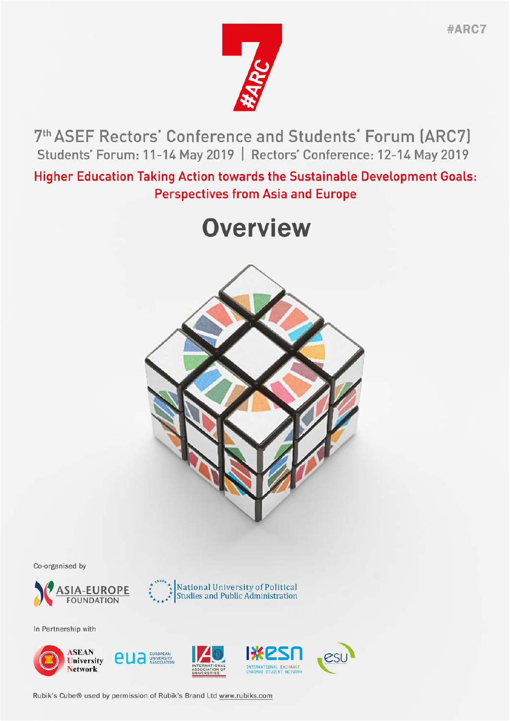

7th ASEF Rectors' Conference and Students' Forum (ARC7) Students' Forum: 11-14 May 2019 | Rectors' Conference: 12-14 May 2019

**Higher Education Taking Action towards the Sustainable Development Goals: Perspectives from Asia and Europe** 

# **Overview**



Co-organised by





In Partnership with



Rubik's Cube® used by permission of Rubik's Brand Ltd www.rubiks.com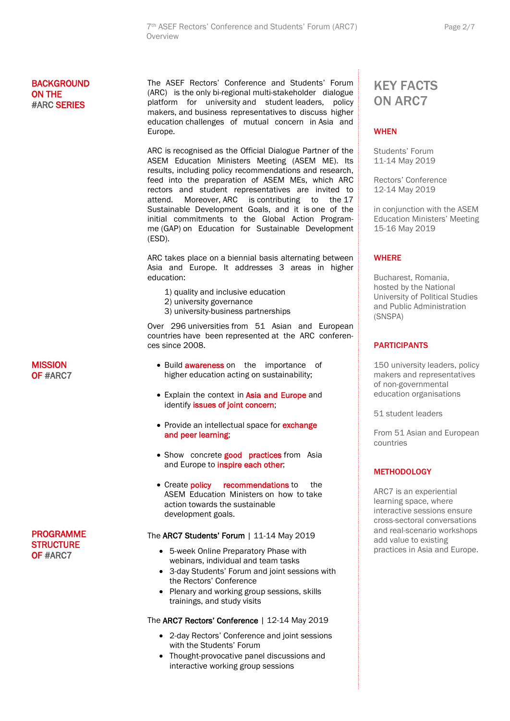#### **BACKGROUND** ON THE #ARC SERIES

The ASEF Rectors' Conference and Students' Forum (ARC) is the only bi-regional multi-stakeholder dialogue platform for university and student leaders, policy makers, and business representatives to discuss higher education challenges of mutual concern in Asia and Europe.

ARC is recognised as the Official Dialogue Partner of the ASEM Education Ministers Meeting (ASEM ME). Its results, including policy recommendations and research, feed into the preparation of ASEM MEs, which ARC rectors and student representatives are invited to attend. Moreover, ARC is contributing to the 17 Sustainable Development Goals, and it is one of the initial commitments to the Global Action Programme (GAP) on Education for Sustainable Development (ESD).

ARC takes place on a biennial basis alternating between Asia and Europe. It addresses 3 areas in higher education:

- 1) quality and inclusive education
- 2) university governance
- 3) university-business partnerships

Over 296 universities from 51 Asian and European countries have been represented at the ARC conferences since 2008.

- Build **awareness** on the importance of higher education acting on sustainability;
- Explain the context in Asia and Europe and identify issues of joint concern;
- Provide an intellectual space for **exchange** and peer learning;
- Show concrete good practices from Asia and Europe to inspire each other;
- Create **policy** recommendations to the ASEM Education Ministers on how to take action towards the sustainable development goals.

#### The ARC7 Students' Forum | 11-14 May 2019

- 5-week Online Preparatory Phase with webinars, individual and team tasks
- 3-day Students' Forum and joint sessions with the Rectors' Conference
- Plenary and working group sessions, skills trainings, and study visits

#### The ARC7 Rectors' Conference | 12-14 May 2019

- 2-day Rectors' Conference and joint sessions with the Students' Forum
- Thought-provocative panel discussions and interactive working group sessions

### KEY FACTS ON ARC7

#### **WHEN**

Students' Forum 11-14 May 2019

Rectors' Conference 12-14 May 2019

in conjunction with the ASEM Education Ministers' Meeting 15-16 May 2019

#### **WHERE**

Bucharest, Romania, hosted by the National University of Political Studies and Public Administration (SNSPA)

#### PARTICIPANTS

150 university leaders, policy makers and representatives of non-governmental education organisations

51 student leaders

From 51 Asian and European countries

#### **METHODOLOGY**

ARC7 is an experiential learning space, where interactive sessions ensure cross-sectoral conversations and real-scenario workshops add value to existing practices in Asia and Europe.

**MISSION** OF #ARC7

PROGRAMME **STRUCTURE** OF #ARC7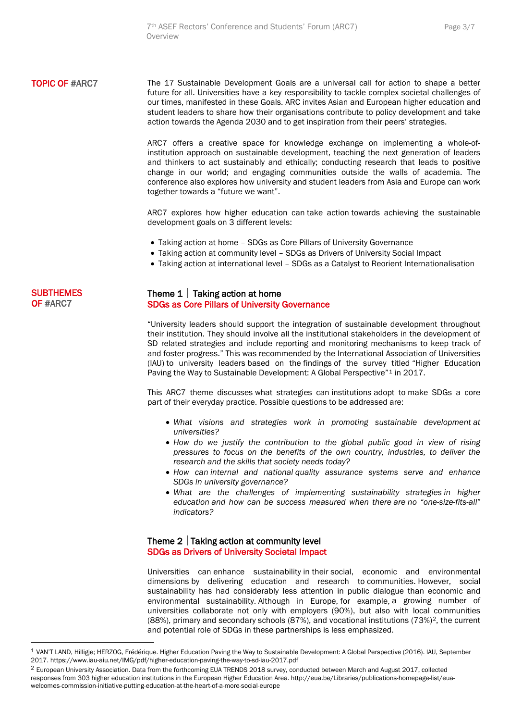#### **TOPIC OF #ARC7** The 17 Sustainable Development Goals are a universal call for action to shape a better future for all. Universities have a key responsibility to tackle complex societal challenges of our times, manifested in these Goals. ARC invites Asian and European higher education and student leaders to share how their organisations contribute to policy development and take action towards the Agenda 2030 and to get inspiration from their peers' strategies.

ARC7 offers a creative space for knowledge exchange on implementing a whole-ofinstitution approach on sustainable development, teaching the next generation of leaders and thinkers to act sustainably and ethically; conducting research that leads to positive change in our world; and engaging communities outside the walls of academia. The conference also explores how university and student leaders from Asia and Europe can work together towards a "future we want".

ARC7 explores how higher education can take action towards achieving the sustainable development goals on 3 different levels:

- Taking action at home SDGs as Core Pillars of University Governance
- Taking action at community level SDGs as Drivers of University Social Impact
- Taking action at international level SDGs as a Catalyst to Reorient Internationalisation

#### **SUBTHEMES** OF #ARC7

#### Theme  $1 \mid$  Taking action at home SDGs as Core Pillars of University Governance

"University leaders should support the integration of sustainable development throughout their institution. They should involve all the institutional stakeholders in the development of SD related strategies and include reporting and monitoring mechanisms to keep track of and foster progress." This was recommended by the International Association of Universities (IAU) to university leaders based on the findings of the survey titled "Higher Education Paving the Way to Sustainable Development: A Global Perspective"<sup>[1](#page-2-0)</sup> in 2017.

This ARC7 theme discusses what strategies can institutions adopt to make SDGs a core part of their everyday practice. Possible questions to be addressed are:

- *What visions and strategies work in promoting sustainable development at universities?*
- *How do we justify the contribution to the global public good in view of rising pressures to focus on the benefits of the own country, industries, to deliver the research and the skills that society needs today?*
- *How can internal and national quality assurance systems serve and enhance SDGs in university governance?*
- *What are the challenges of implementing sustainability strategies in higher education and how can be success measured when there are no "one-size-fits-all" indicators?*

#### Theme  $2 \mid$  Taking action at community level SDGs as Drivers of University Societal Impact

Universities can enhance sustainability in their social, economic and environmental dimensions by delivering education and research to communities. However, social sustainability has had considerably less attention in public dialogue than economic and environmental sustainability. Although in Europe, for example, a growing number of universities collaborate not only with employers (90%), but also with local communities (88%), primary and secondary schools (87%), and vocational institutions  $(73%)^2$  $(73%)^2$ , the current and potential role of SDGs in these partnerships is less emphasized.

<span id="page-2-0"></span> <sup>1</sup> VAN'T LAND, Hilligje; HERZOG, Frédérique. Higher Education Paving the Way to Sustainable Development: A Global Perspective (2016). IAU, September 2017. https://www.iau-aiu.net/IMG/pdf/higher-education-paving-the-way-to-sd-iau-2017.pdf

<span id="page-2-1"></span><sup>&</sup>lt;sup>2</sup> European University Association. Data from the forthcoming EUA TRENDS 2018 survey, conducted between March and August 2017, collected responses from 303 higher education institutions in the European Higher Education Area. http://eua.be/Libraries/publications-homepage-list/euawelcomes-commission-initiative-putting-education-at-the-heart-of-a-more-social-europe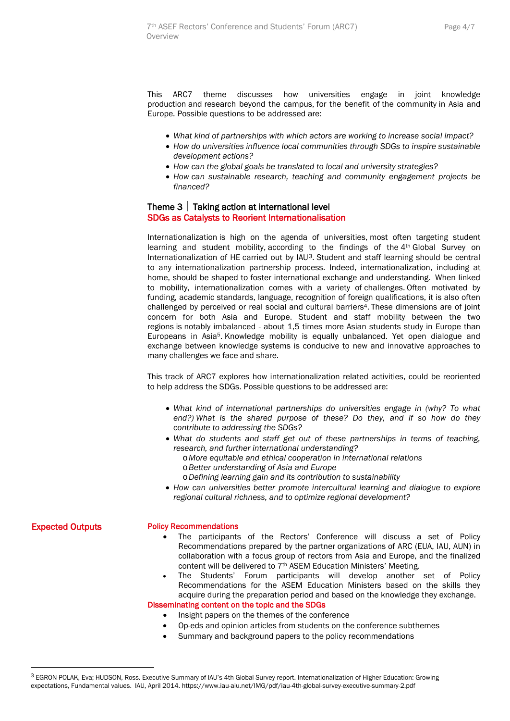This ARC7 theme discusses how universities engage in joint knowledge production and research beyond the campus, for the benefit of the community in Asia and Europe. Possible questions to be addressed are:

- *What kind of partnerships with which actors are working to increase social impact?*
- *How do universities influence local communities through SDGs to inspire sustainable development actions?*
- *How can the global goals be translated to local and university strategies?*
- *How can sustainable research, teaching and community engagement projects be financed?*

## Theme 3 | Taking action at international level<br>SDGs as Catalysts to Reorient Internationalisation

Internationalization is high on the agenda of universities, most often targeting student learning and student mobility, according to the findings of the  $4<sup>th</sup>$  Global Survey on Internationalization of HE carried out by IAU[3.](#page-3-0) Student and staff learning should be central to any internationalization partnership process. Indeed, internationalization, including at home, should be shaped to foster international exchange and understanding. When linked to mobility, internationalization comes with a variety of challenges. Often motivated by funding, academic standards, language, recognition of foreign qualifications, it is also often challenged by perceived or real social and cultural barriers4. These dimensions are of joint concern for both Asia and Europe. Student and staff mobility between the two regions is notably imbalanced - about 1,5 times more Asian students study in Europe than Europeans in Asia5. Knowledge mobility is equally unbalanced. Yet open dialogue and exchange between knowledge systems is conducive to new and innovative approaches to many challenges we face and share.

This track of ARC7 explores how internationalization related activities, could be reoriented to help address the SDGs. Possible questions to be addressed are:

- *What kind of international partnerships do universities engage in (why? To what end?) What is the shared purpose of these? Do they, and if so how do they contribute to addressing the SDGs?*
- *What do students and staff get out of these partnerships in terms of teaching, research, and further international understanding?*
	- o*More equitable and ethical cooperation in international relations*
	- o*Better understanding of Asia and Europe*
	- o*Defining learning gain and its contribution to sustainability*
- *How can universities better promote intercultural learning and dialogue to explore regional cultural richness, and to optimize regional development?*

Expected Outputs

#### Policy Recommendations

- The participants of the Rectors' Conference will discuss a set of Policy Recommendations prepared by the partner organizations of ARC (EUA, IAU, AUN) in collaboration with a focus group of rectors from Asia and Europe, and the finalized content will be delivered to 7th ASEM Education Ministers' Meeting.
- The Students' Forum participants will develop another set of Policy Recommendations for the ASEM Education Ministers based on the skills they acquire during the preparation period and based on the knowledge they exchange. Disseminating content on the topic and the SDGs
	- Insight papers on the themes of the conference
	- Op-eds and opinion articles from students on the conference subthemes
	- Summary and background papers to the policy recommendations

<span id="page-3-0"></span> <sup>3</sup> EGRON-POLAK, Eva; HUDSON, Ross. Executive Summary of IAU's 4th Global Survey report. Internationalization of Higher Education: Growing expectations, Fundamental values. IAU, April 2014. https://www.iau-aiu.net/IMG/pdf/iau-4th-global-survey-executive-summary-2.pdf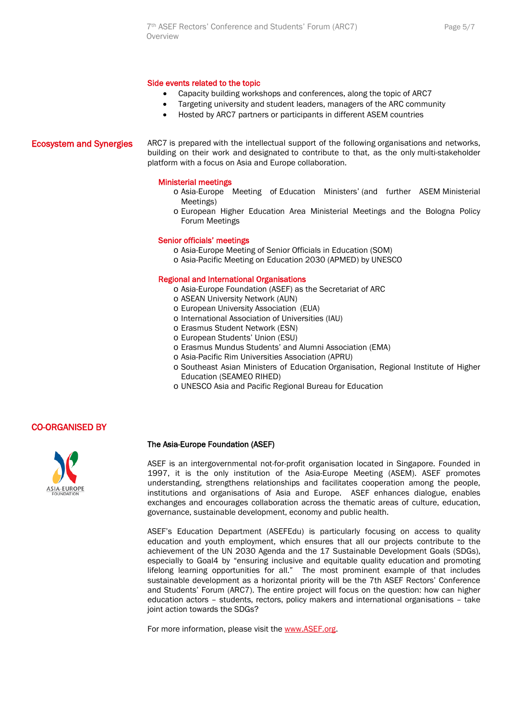#### Side events related to the topic

- Capacity building workshops and conferences, along the topic of ARC7
- Targeting university and student leaders, managers of the ARC community
- Hosted by ARC7 partners or participants in different ASEM countries

Ecosystem and Synergies ARC7 is prepared with the intellectual support of the following organisations and networks, building on their work and designated to contribute to that, as the only multi-stakeholder platform with a focus on Asia and Europe collaboration.

#### Ministerial meetings

- o Asia-Europe Meeting of Education Ministers' (and further ASEM Ministerial Meetings)
- o European Higher Education Area Ministerial Meetings and the Bologna Policy Forum Meetings

#### Senior officials' meetings

- o Asia-Europe Meeting of Senior Officials in Education (SOM)
- o Asia-Pacific Meeting on Education 2030 (APMED) by UNESCO

#### Regional and International Organisations

- o Asia-Europe Foundation (ASEF) as the Secretariat of ARC
- o [ASEAN University Network](http://www.aunsec.org/) (AUN)
- o [European University Association](http://www.eua.be/) (EUA)
- o [International Association of Universities](https://iau-aiu.net/) (IAU)
- o [Erasmus Student Network](https://esn.org/) (ESN)
- o [European Students' Union](https://www.esu-online.org/) (ESU)
- o Erasmus Mundus Students' and Alumni Association (EMA)
- o Asia-Pacific Rim Universities Association (APRU)
- o Southeast Asian Ministers of Education Organisation, Regional Institute of Higher Education (SEAMEO RIHED)
- o UNESCO Asia and Pacific Regional Bureau for Education

#### CO-ORGANISED BY



#### The Asia-Europe Foundation (ASEF)

ASEF is an intergovernmental not-for-profit organisation located in Singapore. Founded in 1997, it is the only institution of the Asia-Europe Meeting (ASEM). ASEF promotes understanding, strengthens relationships and facilitates cooperation among the people, institutions and organisations of Asia and Europe. ASEF enhances dialogue, enables exchanges and encourages collaboration across the thematic areas of culture, education, governance, sustainable development, economy and public health.

ASEF's Education Department (ASEFEdu) is particularly focusing on access to quality education and youth employment, which ensures that all our projects contribute to the achievement of the UN 2030 Agenda and the 17 Sustainable Development Goals (SDGs), especially to Goal4 by "ensuring inclusive and equitable quality education and promoting lifelong learning opportunities for all." The most prominent example of that includes sustainable development as a horizontal priority will be the 7th ASEF Rectors' Conference and Students' Forum (ARC7). The entire project will focus on the question: how can higher education actors – students, rectors, policy makers and international organisations – take joint action towards the SDGs?

For more information, please visit the [www.ASEF.org.](http://www.asef.org/)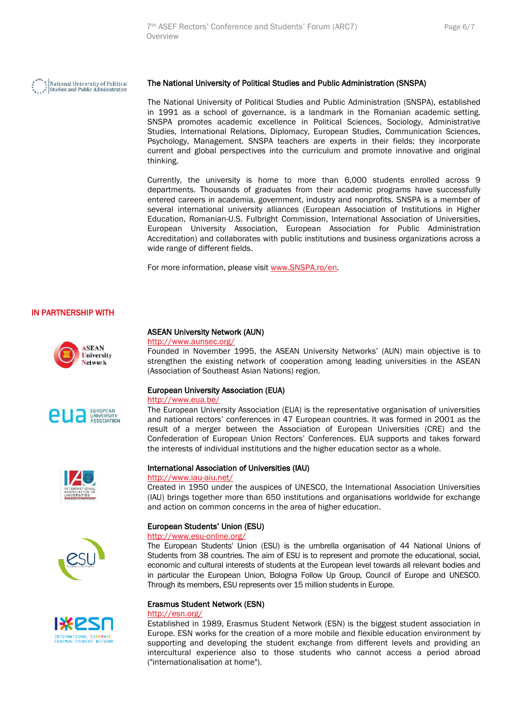

#### The National University of Political Studies and Public Administration (SNSPA)

The National University of Political Studies and Public Administration (SNSPA), established in 1991 as a school of governance, is a landmark in the Romanian academic setting. SNSPA promotes academic excellence in Political Sciences, Sociology, Administrative Studies, International Relations, Diplomacy, European Studies, Communication Sciences, Psychology, Management. SNSPA teachers are experts in their fields; they incorporate current and global perspectives into the curriculum and promote innovative and original thinking.

Currently, the university is home to more than 6,000 students enrolled across 9 departments. Thousands of graduates from their academic programs have successfully entered careers in academia, government, industry and nonprofits. SNSPA is a member of several international university alliances (European Association of Institutions in Higher Education, Romanian-U.S. Fulbright Commission, International Association of Universities, European University Association, European Association for Public Administration Accreditation) and collaborates with public institutions and business organizations across a wide range of different fields.

For more information, please visit [www.SNSPA.ro/en.](http://www.snspa.ro/en)

#### IN PARTNERSHIP WITH











#### ASEAN University Network (AUN)

#### <http://www.aunsec.org/>

Founded in November 1995, the ASEAN University Networks' (AUN) main objective is to strengthen the existing network of cooperation among leading universities in the ASEAN (Association of Southeast Asian Nations) region.

#### European University Association (EUA)

<http://www.eua.be/>

The European University Association (EUA) is the representative organisation of universities and national rectors' conferences in 47 European countries. It was formed in 2001 as the result of a merger between the Association of European Universities (CRE) and the Confederation of European Union Rectors' Conferences. EUA supports and takes forward the interests of individual institutions and the higher education sector as a whole.

#### International Association of Universities (IAU)

#### <http://www.iau-aiu.net/>

Created in 1950 under the auspices of UNESCO, the International Association Universities (IAU) brings together more than 650 institutions and organisations worldwide for exchange and action on common concerns in the area of higher education.

#### European Students' Union (ESU)

#### <http://www.esu-online.org/>

The European Students' Union (ESU) is the umbrella organisation of 44 National Unions of Students from 38 countries. The aim of ESU is to represent and promote the educational, social, economic and cultural interests of students at the European level towards all relevant bodies and in particular the European Union, Bologna Follow Up Group, Council of Europe and UNESCO. Through its members, ESU represents over 15 million students in Europe.

#### Erasmus Student Network (ESN)

#### <http://esn.org/>

Established in 1989, Erasmus Student Network (ESN) is the biggest student association in Europe. ESN works for the creation of a more mobile and flexible education environment by supporting and developing the student exchange from different levels and providing an intercultural experience also to those students who cannot access a period abroad ("internationalisation at home").